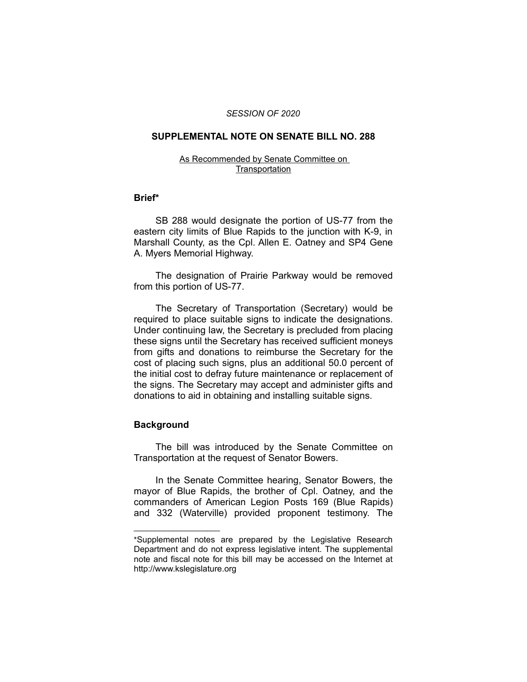### *SESSION OF 2020*

# **SUPPLEMENTAL NOTE ON SENATE BILL NO. 288**

#### As Recommended by Senate Committee on **Transportation**

### **Brief\***

SB 288 would designate the portion of US-77 from the eastern city limits of Blue Rapids to the junction with K-9, in Marshall County, as the Cpl. Allen E. Oatney and SP4 Gene A. Myers Memorial Highway.

The designation of Prairie Parkway would be removed from this portion of US-77.

The Secretary of Transportation (Secretary) would be required to place suitable signs to indicate the designations. Under continuing law, the Secretary is precluded from placing these signs until the Secretary has received sufficient moneys from gifts and donations to reimburse the Secretary for the cost of placing such signs, plus an additional 50.0 percent of the initial cost to defray future maintenance or replacement of the signs. The Secretary may accept and administer gifts and donations to aid in obtaining and installing suitable signs.

# **Background**

 $\overline{\phantom{a}}$  , where  $\overline{\phantom{a}}$ 

The bill was introduced by the Senate Committee on Transportation at the request of Senator Bowers.

In the Senate Committee hearing, Senator Bowers, the mayor of Blue Rapids, the brother of Cpl. Oatney, and the commanders of American Legion Posts 169 (Blue Rapids) and 332 (Waterville) provided proponent testimony. The

<sup>\*</sup>Supplemental notes are prepared by the Legislative Research Department and do not express legislative intent. The supplemental note and fiscal note for this bill may be accessed on the Internet at http://www.kslegislature.org